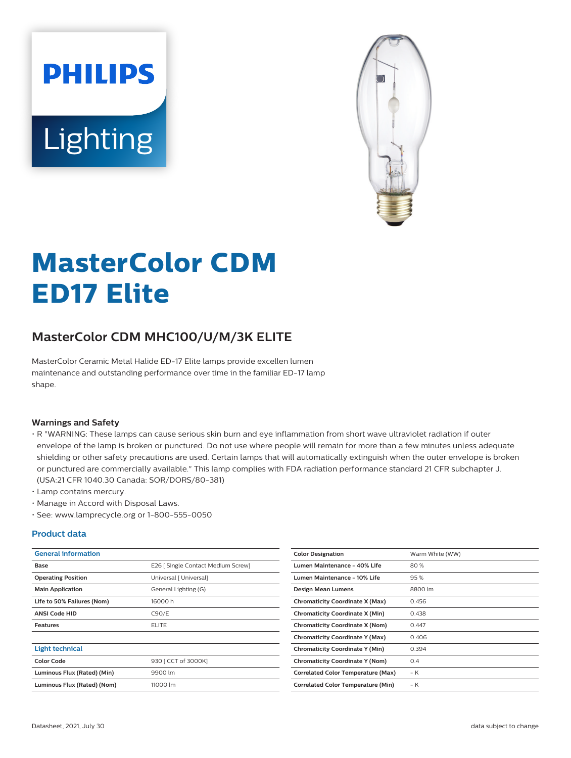



# **MasterColor CDM ED17 Elite**

## **MasterColor CDM MHC100/U/M/3K ELITE**

MasterColor Ceramic Metal Halide ED-17 Elite lamps provide excellen lumen maintenance and outstanding performance over time in the familiar ED-17 lamp shape.

#### **Warnings and Safety**

- R "WARNING: These lamps can cause serious skin burn and eye inflammation from short wave ultraviolet radiation if outer envelope of the lamp is broken or punctured. Do not use where people will remain for more than a few minutes unless adequate shielding or other safety precautions are used. Certain lamps that will automatically extinguish when the outer envelope is broken or punctured are commercially available." This lamp complies with FDA radiation performance standard 21 CFR subchapter J. (USA:21 CFR 1040.30 Canada: SOR/DORS/80-381)
- Lamp contains mercury.
- Manage in Accord with Disposal Laws.
- See: www.lamprecycle.org or 1-800-555-0050

#### **Product data**

| <b>General information</b>  |                                    | <b>Color Designation</b>                  | Warm White (WW) |
|-----------------------------|------------------------------------|-------------------------------------------|-----------------|
| Base                        | E26   Single Contact Medium Screw] | <b>Lumen Maintenance - 40% Life</b>       | 80%             |
| <b>Operating Position</b>   | Universal [ Universal]             | Lumen Maintenance - 10% Life              | 95%             |
| <b>Main Application</b>     | General Lighting (G)               | Design Mean Lumens                        | 8800 lm         |
| Life to 50% Failures (Nom)  | 16000h                             | <b>Chromaticity Coordinate X (Max)</b>    | 0.456           |
| <b>ANSI Code HID</b>        | C90/E                              | <b>Chromaticity Coordinate X (Min)</b>    | 0.438           |
| <b>Features</b>             | <b>ELITE</b>                       | <b>Chromaticity Coordinate X (Nom)</b>    | 0.447           |
|                             |                                    | <b>Chromaticity Coordinate Y (Max)</b>    | 0.406           |
| <b>Light technical</b>      |                                    | <b>Chromaticity Coordinate Y (Min)</b>    | 0.394           |
| <b>Color Code</b>           | 930 [ CCT of 3000K]                | <b>Chromaticity Coordinate Y (Nom)</b>    | 0.4             |
| Luminous Flux (Rated) (Min) | 9900 lm                            | <b>Correlated Color Temperature (Max)</b> | $-K$            |
| Luminous Flux (Rated) (Nom) | 11000 lm                           | <b>Correlated Color Temperature (Min)</b> | $-K$            |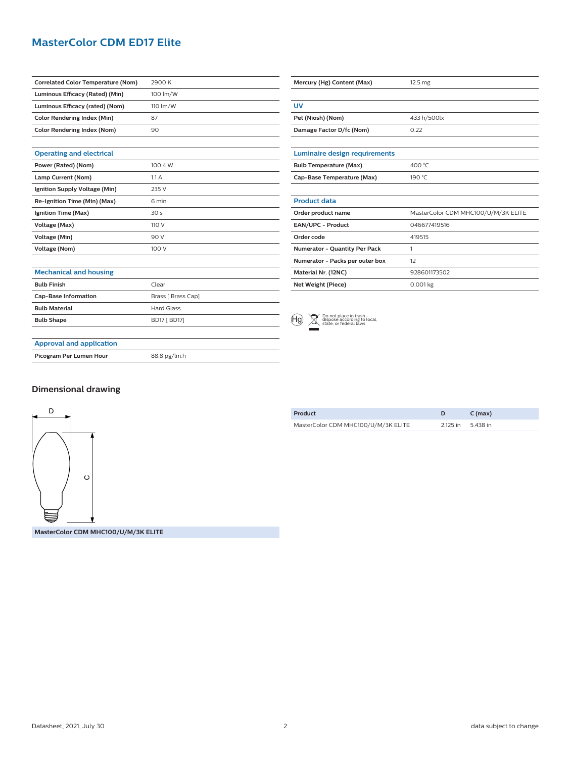### **MasterColor CDM ED17 Elite**

| <b>Correlated Color Temperature (Nom)</b> | 2900 K              |
|-------------------------------------------|---------------------|
| Luminous Efficacy (Rated) (Min)           | 100 lm/W            |
| Luminous Efficacy (rated) (Nom)           | 110 lm/W            |
| <b>Color Rendering Index (Min)</b>        | 87                  |
| <b>Color Rendering Index (Nom)</b>        | 90                  |
|                                           |                     |
| <b>Operating and electrical</b>           |                     |
| Power (Rated) (Nom)                       | 100.4 W             |
| Lamp Current (Nom)                        | 1.1A                |
| Ignition Supply Voltage (Min)             | 235 V               |
| Re-Ignition Time (Min) (Max)              | 6 min               |
| Ignition Time (Max)                       | 30 <sub>s</sub>     |
| Voltage (Max)                             | 110 V               |
| Voltage (Min)                             | 90 V                |
| <b>Voltage (Nom)</b>                      | 100 V               |
|                                           |                     |
| <b>Mechanical and housing</b>             |                     |
| <b>Bulb Finish</b>                        | Clear               |
| <b>Cap-Base Information</b>               | Brass [ Brass Cap]  |
| <b>Bulb Material</b>                      | <b>Hard Glass</b>   |
| <b>Bulb Shape</b>                         | <b>BD17 [ BD17]</b> |
|                                           |                     |
| <b>Approval and application</b>           |                     |

| Mercury (Hg) Content (Max)           | 12.5 <sub>mg</sub>                  |  |
|--------------------------------------|-------------------------------------|--|
|                                      |                                     |  |
| UV                                   |                                     |  |
| Pet (Niosh) (Nom)                    | 433 h/500lx                         |  |
| Damage Factor D/fc (Nom)             | 0.22                                |  |
|                                      |                                     |  |
| <b>Luminaire design requirements</b> |                                     |  |
| <b>Bulb Temperature (Max)</b>        | 400 °C                              |  |
| Cap-Base Temperature (Max)           | 190 °C                              |  |
|                                      |                                     |  |
| <b>Product data</b>                  |                                     |  |
| Order product name                   | MasterColor CDM MHC100/U/M/3K ELITE |  |
| EAN/UPC - Product                    | 046677419516                        |  |
| Order code                           | 419515                              |  |
| <b>Numerator - Quantity Per Pack</b> | 1                                   |  |
| Numerator - Packs per outer box      | 12                                  |  |
| Material Nr. (12NC)                  | 928601173502                        |  |
| Net Weight (Piece)                   | $0.001$ kg                          |  |



# **Picogram Per Lumen Hour** 88.8 pg/lm.h

#### **Dimensional drawing**



**Product D C (max)** MasterColor CDM MHC100/U/M/3K ELITE 2.125 in 5.438 in

**MasterColor CDM MHC100/U/M/3K ELITE**